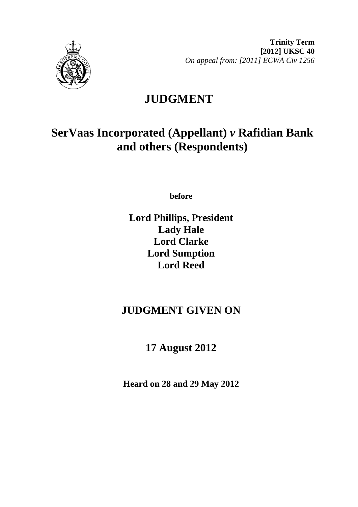

**Trinity Term [2012] UKSC 40**  *On appeal from: [2011] ECWA Civ 1256* 

# **JUDGMENT**

# **SerVaas Incorporated (Appellant)** *v* **Rafidian Bank and others (Respondents)**

**before** 

**Lord Phillips, President Lady Hale Lord Clarke Lord Sumption Lord Reed**

## **JUDGMENT GIVEN ON**

### **17 August 2012**

**Heard on 28 and 29 May 2012**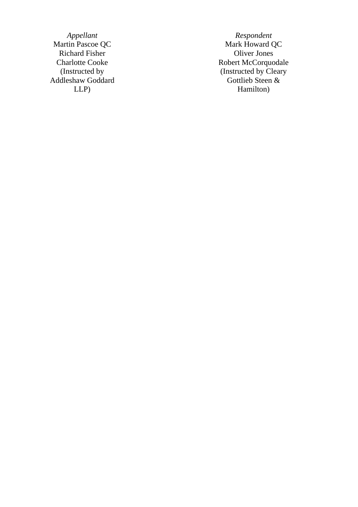*Appellant Respondent*<br>Martin Pascoe QC *Mark Howard (* Richard Fisher Charlotte Cooke (Instructed by Addleshaw Goddard LLP)

Mark Howard QC Oliver Jones Robert McCorquodale (Instructed by Cleary Gottlieb Steen & Hamilton)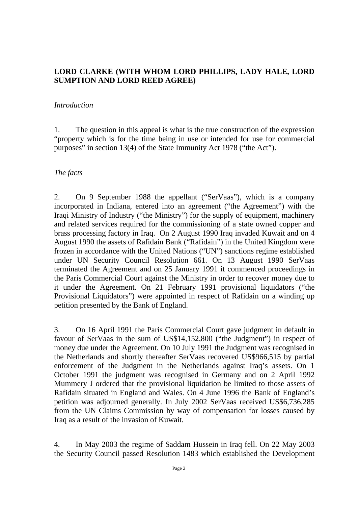#### **LORD CLARKE (WITH WHOM LORD PHILLIPS, LADY HALE, LORD SUMPTION AND LORD REED AGREE)**

#### *Introduction*

1. The question in this appeal is what is the true construction of the expression "property which is for the time being in use or intended for use for commercial purposes" in section 13(4) of the State Immunity Act 1978 ("the Act").

#### *The facts*

2. On 9 September 1988 the appellant ("SerVaas"), which is a company incorporated in Indiana, entered into an agreement ("the Agreement") with the Iraqi Ministry of Industry ("the Ministry") for the supply of equipment, machinery and related services required for the commissioning of a state owned copper and brass processing factory in Iraq. On 2 August 1990 Iraq invaded Kuwait and on 4 August 1990 the assets of Rafidain Bank ("Rafidain") in the United Kingdom were frozen in accordance with the United Nations ("UN") sanctions regime established under UN Security Council Resolution 661. On 13 August 1990 SerVaas terminated the Agreement and on 25 January 1991 it commenced proceedings in the Paris Commercial Court against the Ministry in order to recover money due to it under the Agreement. On 21 February 1991 provisional liquidators ("the Provisional Liquidators") were appointed in respect of Rafidain on a winding up petition presented by the Bank of England.

3. On 16 April 1991 the Paris Commercial Court gave judgment in default in favour of SerVaas in the sum of US\$14,152,800 ("the Judgment") in respect of money due under the Agreement. On 10 July 1991 the Judgment was recognised in the Netherlands and shortly thereafter SerVaas recovered US\$966,515 by partial enforcement of the Judgment in the Netherlands against Iraq's assets. On 1 October 1991 the judgment was recognised in Germany and on 2 April 1992 Mummery J ordered that the provisional liquidation be limited to those assets of Rafidain situated in England and Wales. On 4 June 1996 the Bank of England's petition was adjourned generally. In July 2002 SerVaas received US\$6,736,285 from the UN Claims Commission by way of compensation for losses caused by Iraq as a result of the invasion of Kuwait.

4. In May 2003 the regime of Saddam Hussein in Iraq fell. On 22 May 2003 the Security Council passed Resolution 1483 which established the Development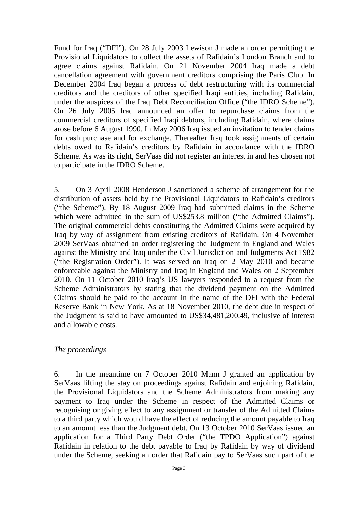Fund for Iraq ("DFI"). On 28 July 2003 Lewison J made an order permitting the Provisional Liquidators to collect the assets of Rafidain's London Branch and to agree claims against Rafidain. On 21 November 2004 Iraq made a debt cancellation agreement with government creditors comprising the Paris Club. In December 2004 Iraq began a process of debt restructuring with its commercial creditors and the creditors of other specified Iraqi entities, including Rafidain, under the auspices of the Iraq Debt Reconciliation Office ("the IDRO Scheme"). On 26 July 2005 Iraq announced an offer to repurchase claims from the commercial creditors of specified Iraqi debtors, including Rafidain, where claims arose before 6 August 1990. In May 2006 Iraq issued an invitation to tender claims for cash purchase and for exchange. Thereafter Iraq took assignments of certain debts owed to Rafidain's creditors by Rafidain in accordance with the IDRO Scheme. As was its right, SerVaas did not register an interest in and has chosen not to participate in the IDRO Scheme.

5. On 3 April 2008 Henderson J sanctioned a scheme of arrangement for the distribution of assets held by the Provisional Liquidators to Rafidain's creditors ("the Scheme"). By 18 August 2009 Iraq had submitted claims in the Scheme which were admitted in the sum of US\$253.8 million ("the Admitted Claims"). The original commercial debts constituting the Admitted Claims were acquired by Iraq by way of assignment from existing creditors of Rafidain. On 4 November 2009 SerVaas obtained an order registering the Judgment in England and Wales against the Ministry and Iraq under the Civil Jurisdiction and Judgments Act 1982 ("the Registration Order"). It was served on Iraq on 2 May 2010 and became enforceable against the Ministry and Iraq in England and Wales on 2 September 2010. On 11 October 2010 Iraq's US lawyers responded to a request from the Scheme Administrators by stating that the dividend payment on the Admitted Claims should be paid to the account in the name of the DFI with the Federal Reserve Bank in New York. As at 18 November 2010, the debt due in respect of the Judgment is said to have amounted to US\$34,481,200.49, inclusive of interest and allowable costs.

#### *The proceedings*

6. In the meantime on 7 October 2010 Mann J granted an application by SerVaas lifting the stay on proceedings against Rafidain and enjoining Rafidain, the Provisional Liquidators and the Scheme Administrators from making any payment to Iraq under the Scheme in respect of the Admitted Claims or recognising or giving effect to any assignment or transfer of the Admitted Claims to a third party which would have the effect of reducing the amount payable to Iraq to an amount less than the Judgment debt. On 13 October 2010 SerVaas issued an application for a Third Party Debt Order ("the TPDO Application") against Rafidain in relation to the debt payable to Iraq by Rafidain by way of dividend under the Scheme, seeking an order that Rafidain pay to SerVaas such part of the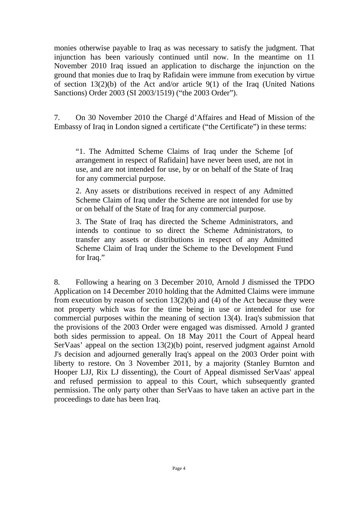monies otherwise payable to Iraq as was necessary to satisfy the judgment. That injunction has been variously continued until now. In the meantime on 11 November 2010 Iraq issued an application to discharge the injunction on the ground that monies due to Iraq by Rafidain were immune from execution by virtue of section 13(2)(b) of the Act and/or article 9(1) of the Iraq (United Nations Sanctions) Order 2003 (SI 2003/1519) ("the 2003 Order").

7. On 30 November 2010 the Chargé d'Affaires and Head of Mission of the Embassy of Iraq in London signed a certificate ("the Certificate") in these terms:

"1. The Admitted Scheme Claims of Iraq under the Scheme [of arrangement in respect of Rafidain] have never been used, are not in use, and are not intended for use, by or on behalf of the State of Iraq for any commercial purpose.

2. Any assets or distributions received in respect of any Admitted Scheme Claim of Iraq under the Scheme are not intended for use by or on behalf of the State of Iraq for any commercial purpose.

3. The State of Iraq has directed the Scheme Administrators, and intends to continue to so direct the Scheme Administrators, to transfer any assets or distributions in respect of any Admitted Scheme Claim of Iraq under the Scheme to the Development Fund for Iraq."

8. Following a hearing on 3 December 2010, Arnold J dismissed the TPDO Application on 14 December 2010 holding that the Admitted Claims were immune from execution by reason of section 13(2)(b) and (4) of the Act because they were not property which was for the time being in use or intended for use for commercial purposes within the meaning of section 13(4). Iraq's submission that the provisions of the 2003 Order were engaged was dismissed. Arnold J granted both sides permission to appeal. On 18 May 2011 the Court of Appeal heard SerVaas' appeal on the section 13(2)(b) point, reserved judgment against Arnold J's decision and adjourned generally Iraq's appeal on the 2003 Order point with liberty to restore. On 3 November 2011, by a majority (Stanley Burnton and Hooper LJJ, Rix LJ dissenting), the Court of Appeal dismissed SerVaas' appeal and refused permission to appeal to this Court, which subsequently granted permission. The only party other than SerVaas to have taken an active part in the proceedings to date has been Iraq.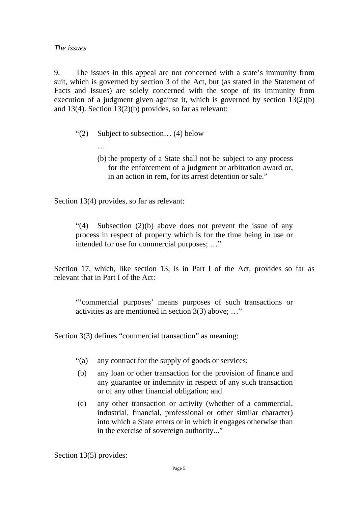#### *The issues*

9. The issues in this appeal are not concerned with a state's immunity from suit, which is governed by section 3 of the Act, but (as stated in the Statement of Facts and Issues) are solely concerned with the scope of its immunity from execution of a judgment given against it, which is governed by section 13(2)(b) and 13(4). Section 13(2)(b) provides, so far as relevant:

- "(2) Subject to subsection… (4) below
	- …
	- (b) the property of a State shall not be subject to any process for the enforcement of a judgment or arbitration award or, in an action in rem, for its arrest detention or sale."

Section 13(4) provides, so far as relevant:

"(4) Subsection (2)(b) above does not prevent the issue of any process in respect of property which is for the time being in use or intended for use for commercial purposes; …"

Section 17, which, like section 13, is in Part I of the Act, provides so far as relevant that in Part I of the Act:

"'commercial purposes' means purposes of such transactions or activities as are mentioned in section 3(3) above; …"

Section 3(3) defines "commercial transaction" as meaning:

- "(a) any contract for the supply of goods or services;
- (b) any loan or other transaction for the provision of finance and any guarantee or indemnity in respect of any such transaction or of any other financial obligation; and
- (c) any other transaction or activity (whether of a commercial, industrial, financial, professional or other similar character) into which a State enters or in which it engages otherwise than in the exercise of sovereign authority..."

Section 13(5) provides: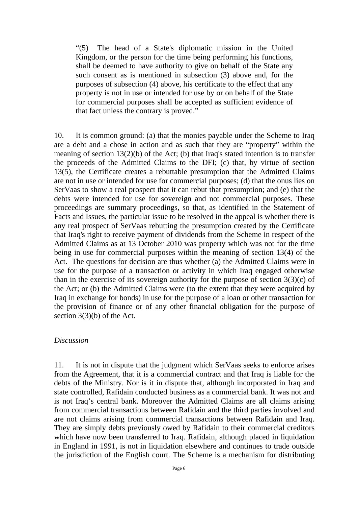"(5) The head of a State's diplomatic mission in the United Kingdom, or the person for the time being performing his functions, shall be deemed to have authority to give on behalf of the State any such consent as is mentioned in subsection (3) above and, for the purposes of subsection (4) above, his certificate to the effect that any property is not in use or intended for use by or on behalf of the State for commercial purposes shall be accepted as sufficient evidence of that fact unless the contrary is proved."

10. It is common ground: (a) that the monies payable under the Scheme to Iraq are a debt and a chose in action and as such that they are "property" within the meaning of section 13(2)(b) of the Act; (b) that Iraq's stated intention is to transfer the proceeds of the Admitted Claims to the DFI; (c) that, by virtue of section 13(5), the Certificate creates a rebuttable presumption that the Admitted Claims are not in use or intended for use for commercial purposes; (d) that the onus lies on SerVaas to show a real prospect that it can rebut that presumption; and (e) that the debts were intended for use for sovereign and not commercial purposes. These proceedings are summary proceedings, so that, as identified in the Statement of Facts and Issues, the particular issue to be resolved in the appeal is whether there is any real prospect of SerVaas rebutting the presumption created by the Certificate that Iraq's right to receive payment of dividends from the Scheme in respect of the Admitted Claims as at 13 October 2010 was property which was not for the time being in use for commercial purposes within the meaning of section 13(4) of the Act. The questions for decision are thus whether (a) the Admitted Claims were in use for the purpose of a transaction or activity in which Iraq engaged otherwise than in the exercise of its sovereign authority for the purpose of section  $3(3)(c)$  of the Act; or (b) the Admitted Claims were (to the extent that they were acquired by Iraq in exchange for bonds) in use for the purpose of a loan or other transaction for the provision of finance or of any other financial obligation for the purpose of section 3(3)(b) of the Act.

#### *Discussion*

11. It is not in dispute that the judgment which SerVaas seeks to enforce arises from the Agreement, that it is a commercial contract and that Iraq is liable for the debts of the Ministry. Nor is it in dispute that, although incorporated in Iraq and state controlled, Rafidain conducted business as a commercial bank. It was not and is not Iraq's central bank. Moreover the Admitted Claims are all claims arising from commercial transactions between Rafidain and the third parties involved and are not claims arising from commercial transactions between Rafidain and Iraq. They are simply debts previously owed by Rafidain to their commercial creditors which have now been transferred to Iraq. Rafidain, although placed in liquidation in England in 1991, is not in liquidation elsewhere and continues to trade outside the jurisdiction of the English court. The Scheme is a mechanism for distributing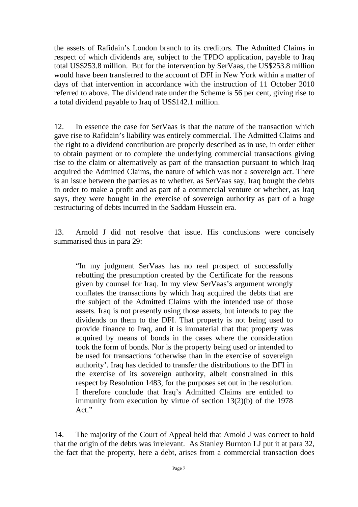the assets of Rafidain's London branch to its creditors. The Admitted Claims in respect of which dividends are, subject to the TPDO application, payable to Iraq total US\$253.8 million. But for the intervention by SerVaas, the US\$253.8 million would have been transferred to the account of DFI in New York within a matter of days of that intervention in accordance with the instruction of 11 October 2010 referred to above. The dividend rate under the Scheme is 56 per cent, giving rise to a total dividend payable to Iraq of US\$142.1 million.

12. In essence the case for SerVaas is that the nature of the transaction which gave rise to Rafidain's liability was entirely commercial. The Admitted Claims and the right to a dividend contribution are properly described as in use, in order either to obtain payment or to complete the underlying commercial transactions giving rise to the claim or alternatively as part of the transaction pursuant to which Iraq acquired the Admitted Claims, the nature of which was not a sovereign act. There is an issue between the parties as to whether, as SerVaas say, Iraq bought the debts in order to make a profit and as part of a commercial venture or whether, as Iraq says, they were bought in the exercise of sovereign authority as part of a huge restructuring of debts incurred in the Saddam Hussein era.

13. Arnold J did not resolve that issue. His conclusions were concisely summarised thus in para 29:

"In my judgment SerVaas has no real prospect of successfully rebutting the presumption created by the Certificate for the reasons given by counsel for Iraq. In my view SerVaas's argument wrongly conflates the transactions by which Iraq acquired the debts that are the subject of the Admitted Claims with the intended use of those assets. Iraq is not presently using those assets, but intends to pay the dividends on them to the DFI. That property is not being used to provide finance to Iraq, and it is immaterial that that property was acquired by means of bonds in the cases where the consideration took the form of bonds. Nor is the property being used or intended to be used for transactions 'otherwise than in the exercise of sovereign authority'. Iraq has decided to transfer the distributions to the DFI in the exercise of its sovereign authority, albeit constrained in this respect by Resolution 1483, for the purposes set out in the resolution. I therefore conclude that Iraq's Admitted Claims are entitled to immunity from execution by virtue of section 13(2)(b) of the 1978 Act."

14. The majority of the Court of Appeal held that Arnold J was correct to hold that the origin of the debts was irrelevant. As Stanley Burnton LJ put it at para 32, the fact that the property, here a debt, arises from a commercial transaction does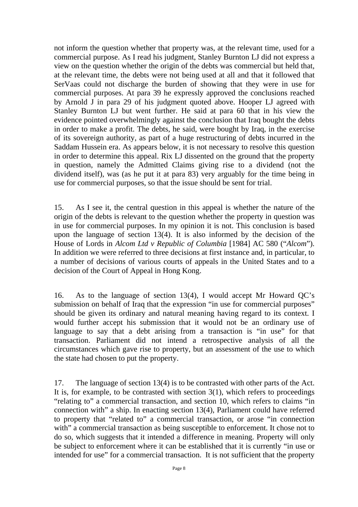not inform the question whether that property was, at the relevant time, used for a commercial purpose. As I read his judgment, Stanley Burnton LJ did not express a view on the question whether the origin of the debts was commercial but held that, at the relevant time, the debts were not being used at all and that it followed that SerVaas could not discharge the burden of showing that they were in use for commercial purposes. At para 39 he expressly approved the conclusions reached by Arnold J in para 29 of his judgment quoted above. Hooper LJ agreed with Stanley Burnton LJ but went further. He said at para 60 that in his view the evidence pointed overwhelmingly against the conclusion that Iraq bought the debts in order to make a profit. The debts, he said, were bought by Iraq, in the exercise of its sovereign authority, as part of a huge restructuring of debts incurred in the Saddam Hussein era. As appears below, it is not necessary to resolve this question in order to determine this appeal. Rix LJ dissented on the ground that the property in question, namely the Admitted Claims giving rise to a dividend (not the dividend itself), was (as he put it at para 83) very arguably for the time being in use for commercial purposes, so that the issue should be sent for trial.

15. As I see it, the central question in this appeal is whether the nature of the origin of the debts is relevant to the question whether the property in question was in use for commercial purposes. In my opinion it is not. This conclusion is based upon the language of section 13(4). It is also informed by the decision of the House of Lords in *Alcom Ltd v Republic of Columbia* [1984] AC 580 ("*Alcom*"). In addition we were referred to three decisions at first instance and, in particular, to a number of decisions of various courts of appeals in the United States and to a decision of the Court of Appeal in Hong Kong.

16. As to the language of section 13(4), I would accept Mr Howard QC's submission on behalf of Iraq that the expression "in use for commercial purposes" should be given its ordinary and natural meaning having regard to its context. I would further accept his submission that it would not be an ordinary use of language to say that a debt arising from a transaction is "in use" for that transaction. Parliament did not intend a retrospective analysis of all the circumstances which gave rise to property, but an assessment of the use to which the state had chosen to put the property.

17. The language of section 13(4) is to be contrasted with other parts of the Act. It is, for example, to be contrasted with section 3(1), which refers to proceedings "relating to" a commercial transaction, and section 10, which refers to claims "in connection with" a ship. In enacting section 13(4), Parliament could have referred to property that "related to" a commercial transaction, or arose "in connection with" a commercial transaction as being susceptible to enforcement. It chose not to do so, which suggests that it intended a difference in meaning. Property will only be subject to enforcement where it can be established that it is currently "in use or intended for use" for a commercial transaction. It is not sufficient that the property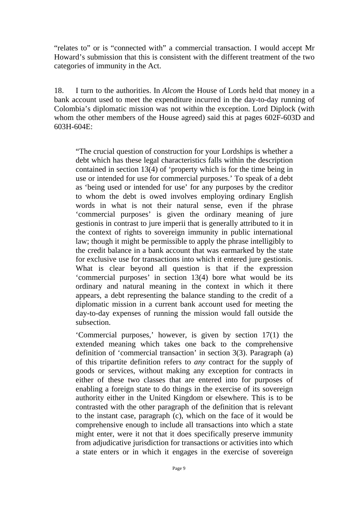"relates to" or is "connected with" a commercial transaction. I would accept Mr Howard's submission that this is consistent with the different treatment of the two categories of immunity in the Act.

18. I turn to the authorities. In *Alcom* the House of Lords held that money in a bank account used to meet the expenditure incurred in the day-to-day running of Colombia's diplomatic mission was not within the exception. Lord Diplock (with whom the other members of the House agreed) said this at pages 602F-603D and 603H-604E:

"The crucial question of construction for your Lordships is whether a debt which has these legal characteristics falls within the description contained in section 13(4) of 'property which is for the time being in use or intended for use for commercial purposes.' To speak of a debt as 'being used or intended for use' for any purposes by the creditor to whom the debt is owed involves employing ordinary English words in what is not their natural sense, even if the phrase 'commercial purposes' is given the ordinary meaning of jure gestionis in contrast to jure imperii that is generally attributed to it in the context of rights to sovereign immunity in public international law; though it might be permissible to apply the phrase intelligibly to the credit balance in a bank account that was earmarked by the state for exclusive use for transactions into which it entered jure gestionis. What is clear beyond all question is that if the expression 'commercial purposes' in section 13(4) bore what would be its ordinary and natural meaning in the context in which it there appears, a debt representing the balance standing to the credit of a diplomatic mission in a current bank account used for meeting the day-to-day expenses of running the mission would fall outside the subsection.

'Commercial purposes,' however, is given by section 17(1) the extended meaning which takes one back to the comprehensive definition of 'commercial transaction' in section 3(3). Paragraph (a) of this tripartite definition refers to *any* contract for the supply of goods or services, without making any exception for contracts in either of these two classes that are entered into for purposes of enabling a foreign state to do things in the exercise of its sovereign authority either in the United Kingdom or elsewhere. This is to be contrasted with the other paragraph of the definition that is relevant to the instant case, paragraph (c), which on the face of it would be comprehensive enough to include all transactions into which a state might enter, were it not that it does specifically preserve immunity from adjudicative jurisdiction for transactions or activities into which a state enters or in which it engages in the exercise of sovereign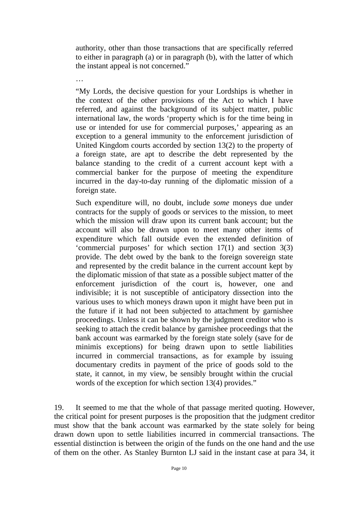authority, other than those transactions that are specifically referred to either in paragraph (a) or in paragraph (b), with the latter of which the instant appeal is not concerned."

…

"My Lords, the decisive question for your Lordships is whether in the context of the other provisions of the Act to which I have referred, and against the background of its subject matter, public international law, the words 'property which is for the time being in use or intended for use for commercial purposes,' appearing as an exception to a general immunity to the enforcement jurisdiction of United Kingdom courts accorded by section 13(2) to the property of a foreign state, are apt to describe the debt represented by the balance standing to the credit of a current account kept with a commercial banker for the purpose of meeting the expenditure incurred in the day-to-day running of the diplomatic mission of a foreign state.

Such expenditure will, no doubt, include *some* moneys due under contracts for the supply of goods or services to the mission, to meet which the mission will draw upon its current bank account; but the account will also be drawn upon to meet many other items of expenditure which fall outside even the extended definition of 'commercial purposes' for which section 17(1) and section 3(3) provide. The debt owed by the bank to the foreign sovereign state and represented by the credit balance in the current account kept by the diplomatic mission of that state as a possible subject matter of the enforcement jurisdiction of the court is, however, one and indivisible; it is not susceptible of anticipatory dissection into the various uses to which moneys drawn upon it might have been put in the future if it had not been subjected to attachment by garnishee proceedings. Unless it can be shown by the judgment creditor who is seeking to attach the credit balance by garnishee proceedings that the bank account was earmarked by the foreign state solely (save for de minimis exceptions) for being drawn upon to settle liabilities incurred in commercial transactions, as for example by issuing documentary credits in payment of the price of goods sold to the state, it cannot, in my view, be sensibly brought within the crucial words of the exception for which section 13(4) provides."

19. It seemed to me that the whole of that passage merited quoting. However, the critical point for present purposes is the proposition that the judgment creditor must show that the bank account was earmarked by the state solely for being drawn down upon to settle liabilities incurred in commercial transactions. The essential distinction is between the origin of the funds on the one hand and the use of them on the other. As Stanley Burnton LJ said in the instant case at para 34, it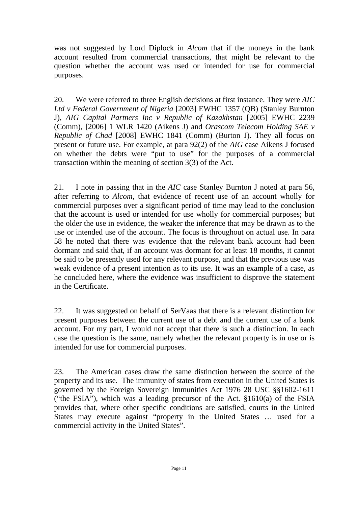was not suggested by Lord Diplock in *Alcom* that if the moneys in the bank account resulted from commercial transactions, that might be relevant to the question whether the account was used or intended for use for commercial purposes.

20. We were referred to three English decisions at first instance. They were *AIC Ltd v Federal Government of Nigeria* [2003] EWHC 1357 (QB) (Stanley Burnton J), *AIG Capital Partners Inc v Republic of Kazakhstan* [2005] EWHC 2239 (Comm), [2006] 1 WLR 1420 (Aikens J) and *Orascom Telecom Holding SAE v Republic of Chad* [2008] EWHC 1841 (Comm) (Burton J). They all focus on present or future use. For example, at para 92(2) of the *AIG* case Aikens J focused on whether the debts were "put to use" for the purposes of a commercial transaction within the meaning of section 3(3) of the Act.

21. I note in passing that in the *AIC* case Stanley Burnton J noted at para 56, after referring to *Alcom*, that evidence of recent use of an account wholly for commercial purposes over a significant period of time may lead to the conclusion that the account is used or intended for use wholly for commercial purposes; but the older the use in evidence, the weaker the inference that may be drawn as to the use or intended use of the account. The focus is throughout on actual use. In para 58 he noted that there was evidence that the relevant bank account had been dormant and said that, if an account was dormant for at least 18 months, it cannot be said to be presently used for any relevant purpose, and that the previous use was weak evidence of a present intention as to its use. It was an example of a case, as he concluded here, where the evidence was insufficient to disprove the statement in the Certificate.

22. It was suggested on behalf of SerVaas that there is a relevant distinction for present purposes between the current use of a debt and the current use of a bank account. For my part, I would not accept that there is such a distinction. In each case the question is the same, namely whether the relevant property is in use or is intended for use for commercial purposes.

23. The American cases draw the same distinction between the source of the property and its use. The immunity of states from execution in the United States is governed by the Foreign Sovereign Immunities Act 1976 28 USC §§1602-1611 ("the FSIA"), which was a leading precursor of the Act. §1610(a) of the FSIA provides that, where other specific conditions are satisfied, courts in the United States may execute against "property in the United States … used for a commercial activity in the United States".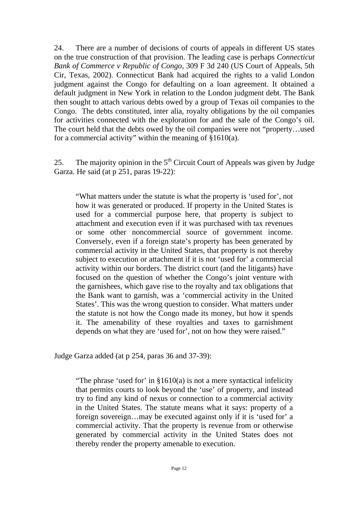24. There are a number of decisions of courts of appeals in different US states on the true construction of that provision. The leading case is perhaps *Connecticut Bank of Commerce v Republic of Congo*, 309 F 3d 240 (US Court of Appeals, 5th Cir, Texas, 2002). Connecticut Bank had acquired the rights to a valid London judgment against the Congo for defaulting on a loan agreement. It obtained a default judgment in New York in relation to the London judgment debt. The Bank then sought to attach various debts owed by a group of Texas oil companies to the Congo. The debts constituted, inter alia, royalty obligations by the oil companies for activities connected with the exploration for and the sale of the Congo's oil. The court held that the debts owed by the oil companies were not "property…used for a commercial activity" within the meaning of §1610(a).

25. The majority opinion in the  $5<sup>th</sup>$  Circuit Court of Appeals was given by Judge Garza. He said (at p 251, paras 19-22):

"What matters under the statute is what the property is 'used for', not how it was generated or produced. If property in the United States is used for a commercial purpose here, that property is subject to attachment and execution even if it was purchased with tax revenues or some other noncommercial source of government income. Conversely, even if a foreign state's property has been generated by commercial activity in the United States, that property is not thereby subject to execution or attachment if it is not 'used for' a commercial activity within our borders. The district court (and the litigants) have focused on the question of whether the Congo's joint venture with the garnishees, which gave rise to the royalty and tax obligations that the Bank want to garnish, was a 'commercial activity in the United States'. This was the wrong question to consider. What matters under the statute is not how the Congo made its money, but how it spends it. The amenability of these royalties and taxes to garnishment depends on what they are 'used for', not on how they were raised."

Judge Garza added (at p 254, paras 36 and 37-39):

"The phrase 'used for' in §1610(a) is not a mere syntactical infelicity that permits courts to look beyond the 'use' of property, and instead try to find any kind of nexus or connection to a commercial activity in the United States. The statute means what it says: property of a foreign sovereign…may be executed against only if it is 'used for' a commercial activity. That the property is revenue from or otherwise generated by commercial activity in the United States does not thereby render the property amenable to execution.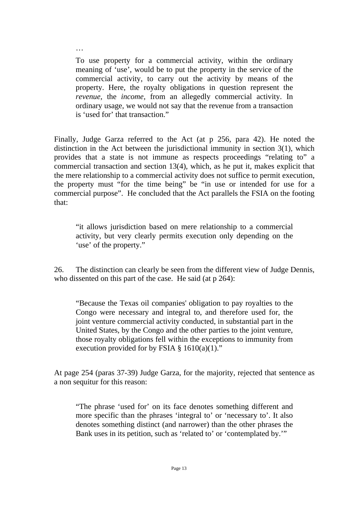To use property for a commercial activity, within the ordinary meaning of 'use', would be to put the property in the service of the commercial activity, to carry out the activity by means of the property. Here, the royalty obligations in question represent the *revenue,* the *income,* from an allegedly commercial activity. In ordinary usage, we would not say that the revenue from a transaction is 'used for' that transaction."

…

Finally, Judge Garza referred to the Act (at p 256, para 42). He noted the distinction in the Act between the jurisdictional immunity in section 3(1), which provides that a state is not immune as respects proceedings "relating to" a commercial transaction and section 13(4), which, as he put it, makes explicit that the mere relationship to a commercial activity does not suffice to permit execution, the property must "for the time being" be "in use or intended for use for a commercial purpose". He concluded that the Act parallels the FSIA on the footing that:

"it allows jurisdiction based on mere relationship to a commercial activity, but very clearly permits execution only depending on the 'use' of the property."

26. The distinction can clearly be seen from the different view of Judge Dennis, who dissented on this part of the case. He said (at p 264):

"Because the Texas oil companies' obligation to pay royalties to the Congo were necessary and integral to, and therefore used for, the joint venture commercial activity conducted, in substantial part in the United States, by the Congo and the other parties to the joint venture, those royalty obligations fell within the exceptions to immunity from execution provided for by FSIA  $\S$  1610(a)(1)."

At page 254 (paras 37-39) Judge Garza, for the majority, rejected that sentence as a non sequitur for this reason:

"The phrase 'used for' on its face denotes something different and more specific than the phrases 'integral to' or 'necessary to'. It also denotes something distinct (and narrower) than the other phrases the Bank uses in its petition, such as 'related to' or 'contemplated by.'"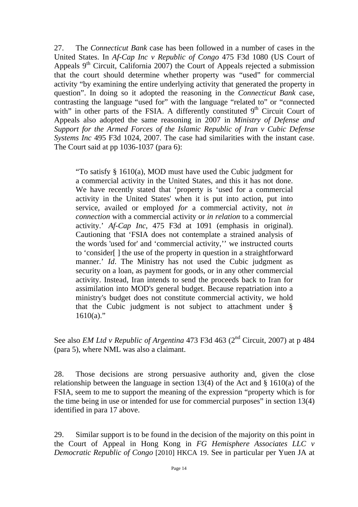27. The *Connecticut Bank* case has been followed in a number of cases in the United States. In *Af-Cap Inc v Republic of Congo* 475 F3d 1080 (US Court of Appeals  $9<sup>th</sup>$  Circuit, California 2007) the Court of Appeals rejected a submission that the court should determine whether property was "used" for commercial activity "by examining the entire underlying activity that generated the property in question". In doing so it adopted the reasoning in the *Connecticut Bank* case, contrasting the language "used for" with the language "related to" or "connected with" in other parts of the FSIA. A differently constituted  $9<sup>th</sup>$  Circuit Court of Appeals also adopted the same reasoning in 2007 in *Ministry of Defense and Support for the Armed Forces of the Islamic Republic of Iran v Cubic Defense Systems Inc* 495 F3d 1024, 2007. The case had similarities with the instant case. The Court said at pp 1036-1037 (para 6):

"To satisfy § 1610(a), MOD must have used the Cubic judgment for a commercial activity in the United States, and this it has not done. We have recently stated that 'property is 'used for a commercial activity in the United States' when it is put into action, put into service, availed or employed *for* a commercial activity, not *in connection* with a commercial activity or *in relation* to a commercial activity.' *Af-Cap Inc*, 475 F3d at 1091 (emphasis in original). Cautioning that 'FSIA does not contemplate a strained analysis of the words 'used for' and 'commercial activity,'' we instructed courts to 'consider[ ] the use of the property in question in a straightforward manner.' *Id*. The Ministry has not used the Cubic judgment as security on a loan, as payment for goods, or in any other commercial activity. Instead, Iran intends to send the proceeds back to Iran for assimilation into MOD's general budget. Because repatriation into a ministry's budget does not constitute commercial activity, we hold that the Cubic judgment is not subject to attachment under §  $1610(a)$ ."

See also *EM Ltd v Republic of Argentina* 473 F3d 463 (2nd Circuit, 2007) at p 484 (para 5), where NML was also a claimant.

28. Those decisions are strong persuasive authority and, given the close relationship between the language in section 13(4) of the Act and § 1610(a) of the FSIA, seem to me to support the meaning of the expression "property which is for the time being in use or intended for use for commercial purposes" in section 13(4) identified in para 17 above.

29. Similar support is to be found in the decision of the majority on this point in the Court of Appeal in Hong Kong in *FG Hemisphere Associates LLC v Democratic Republic of Congo* [2010] HKCA 19. See in particular per Yuen JA at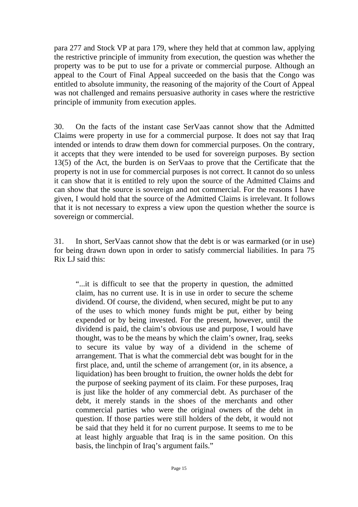para 277 and Stock VP at para 179, where they held that at common law, applying the restrictive principle of immunity from execution, the question was whether the property was to be put to use for a private or commercial purpose. Although an appeal to the Court of Final Appeal succeeded on the basis that the Congo was entitled to absolute immunity, the reasoning of the majority of the Court of Appeal was not challenged and remains persuasive authority in cases where the restrictive principle of immunity from execution apples.

30. On the facts of the instant case SerVaas cannot show that the Admitted Claims were property in use for a commercial purpose. It does not say that Iraq intended or intends to draw them down for commercial purposes. On the contrary, it accepts that they were intended to be used for sovereign purposes. By section 13(5) of the Act, the burden is on SerVaas to prove that the Certificate that the property is not in use for commercial purposes is not correct. It cannot do so unless it can show that it is entitled to rely upon the source of the Admitted Claims and can show that the source is sovereign and not commercial. For the reasons I have given, I would hold that the source of the Admitted Claims is irrelevant. It follows that it is not necessary to express a view upon the question whether the source is sovereign or commercial.

31. In short, SerVaas cannot show that the debt is or was earmarked (or in use) for being drawn down upon in order to satisfy commercial liabilities. In para 75 Rix LJ said this:

"...it is difficult to see that the property in question, the admitted claim, has no current use. It is in use in order to secure the scheme dividend. Of course, the dividend, when secured, might be put to any of the uses to which money funds might be put, either by being expended or by being invested. For the present, however, until the dividend is paid, the claim's obvious use and purpose, I would have thought, was to be the means by which the claim's owner, Iraq, seeks to secure its value by way of a dividend in the scheme of arrangement. That is what the commercial debt was bought for in the first place, and, until the scheme of arrangement (or, in its absence, a liquidation) has been brought to fruition, the owner holds the debt for the purpose of seeking payment of its claim. For these purposes, Iraq is just like the holder of any commercial debt. As purchaser of the debt, it merely stands in the shoes of the merchants and other commercial parties who were the original owners of the debt in question. If those parties were still holders of the debt, it would not be said that they held it for no current purpose. It seems to me to be at least highly arguable that Iraq is in the same position. On this basis, the linchpin of Iraq's argument fails."